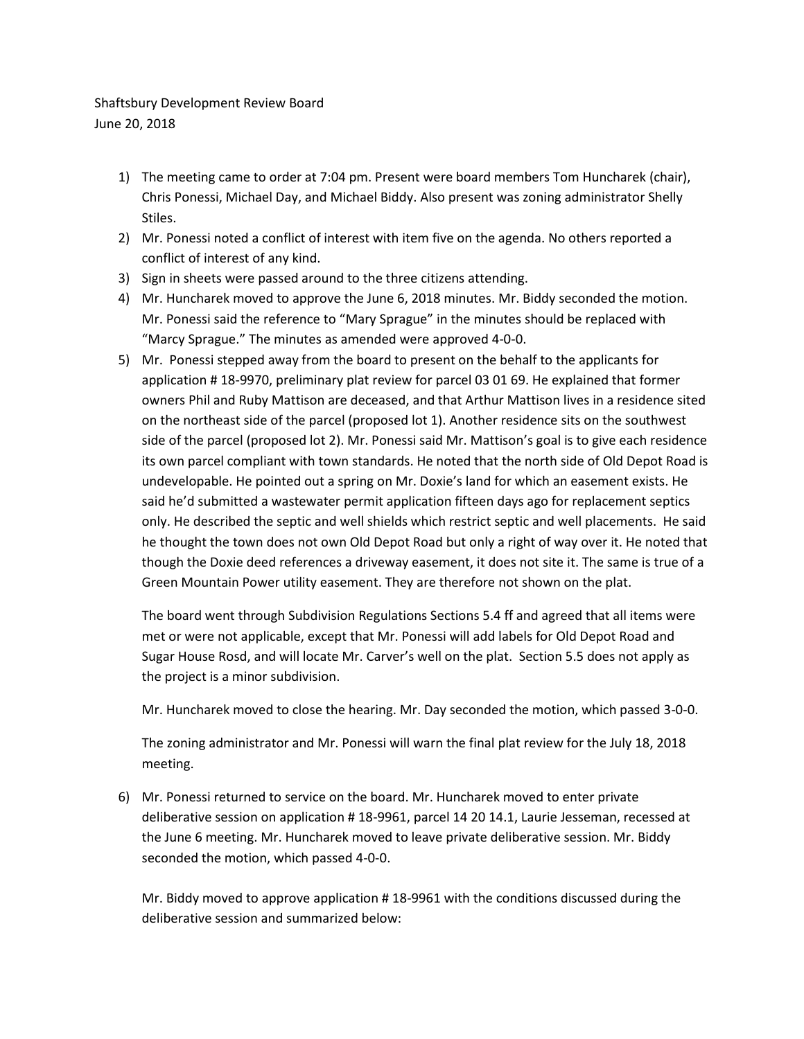Shaftsbury Development Review Board June 20, 2018

- 1) The meeting came to order at 7:04 pm. Present were board members Tom Huncharek (chair), Chris Ponessi, Michael Day, and Michael Biddy. Also present was zoning administrator Shelly Stiles.
- 2) Mr. Ponessi noted a conflict of interest with item five on the agenda. No others reported a conflict of interest of any kind.
- 3) Sign in sheets were passed around to the three citizens attending.
- 4) Mr. Huncharek moved to approve the June 6, 2018 minutes. Mr. Biddy seconded the motion. Mr. Ponessi said the reference to "Mary Sprague" in the minutes should be replaced with ͞Marcy Sprague.͟ The minutes as amended were approved 4-0-0.
- 5) Mr. Ponessi stepped away from the board to present on the behalf to the applicants for application # 18-9970, preliminary plat review for parcel 03 01 69. He explained that former owners Phil and Ruby Mattison are deceased, and that Arthur Mattison lives in a residence sited on the northeast side of the parcel (proposed lot 1). Another residence sits on the southwest side of the parcel (proposed lot 2). Mr. Ponessi said Mr. Mattison's goal is to give each residence its own parcel compliant with town standards. He noted that the north side of Old Depot Road is undevelopable. He pointed out a spring on Mr. Doxie's land for which an easement exists. He said he'd submitted a wastewater permit application fifteen days ago for replacement septics only. He described the septic and well shields which restrict septic and well placements. He said he thought the town does not own Old Depot Road but only a right of way over it. He noted that though the Doxie deed references a driveway easement, it does not site it. The same is true of a Green Mountain Power utility easement. They are therefore not shown on the plat.

The board went through Subdivision Regulations Sections 5.4 ff and agreed that all items were met or were not applicable, except that Mr. Ponessi will add labels for Old Depot Road and Sugar House Rosd, and will locate Mr. Carver's well on the plat. Section 5.5 does not apply as the project is a minor subdivision.

Mr. Huncharek moved to close the hearing. Mr. Day seconded the motion, which passed 3-0-0.

The zoning administrator and Mr. Ponessi will warn the final plat review for the July 18, 2018 meeting.

6) Mr. Ponessi returned to service on the board. Mr. Huncharek moved to enter private deliberative session on application # 18-9961, parcel 14 20 14.1, Laurie Jesseman, recessed at the June 6 meeting. Mr. Huncharek moved to leave private deliberative session. Mr. Biddy seconded the motion, which passed 4-0-0.

Mr. Biddy moved to approve application # 18-9961 with the conditions discussed during the deliberative session and summarized below: